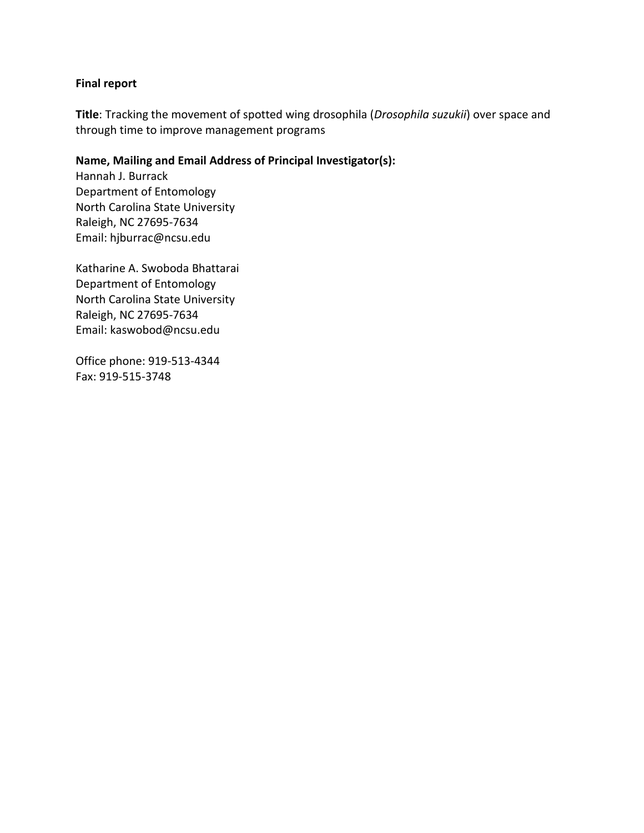## **Final report**

**Title**: Tracking the movement of spotted wing drosophila (*Drosophila suzukii*) over space and through time to improve management programs

# **Name, Mailing and Email Address of Principal Investigator(s):**

Hannah J. Burrack Department of Entomology North Carolina State University Raleigh, NC 27695-7634 Email: hjburrac@ncsu.edu

Katharine A. Swoboda Bhattarai Department of Entomology North Carolina State University Raleigh, NC 27695-7634 Email: kaswobod@ncsu.edu

Office phone: 919-513-4344 Fax: 919-515-3748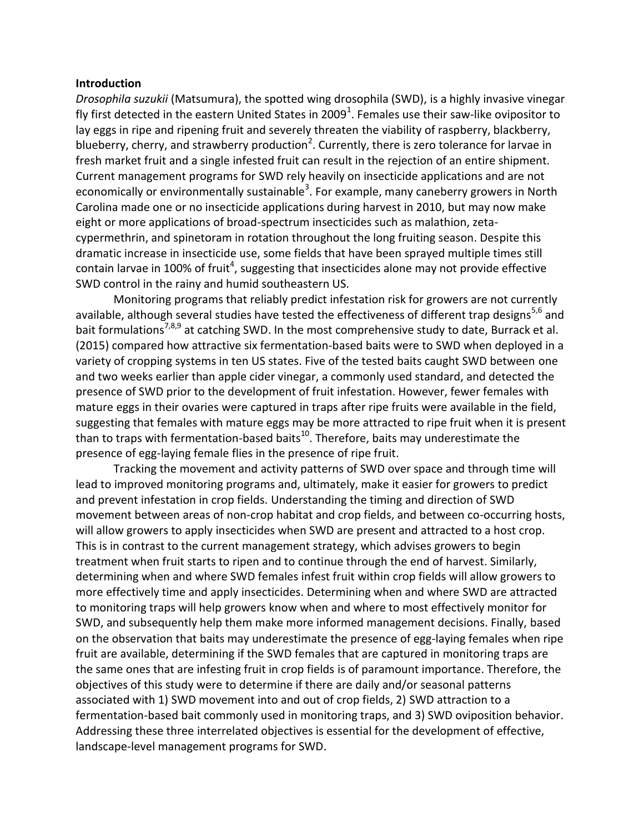#### **Introduction**

*Drosophila suzukii* (Matsumura), the spotted wing drosophila (SWD), is a highly invasive vinegar fly first detected in the eastern United States in 2009<sup>1</sup>. Females use their saw-like ovipositor to lay eggs in ripe and ripening fruit and severely threaten the viability of raspberry, blackberry, blueberry, cherry, and strawberry production<sup>2</sup>. Currently, there is zero tolerance for larvae in fresh market fruit and a single infested fruit can result in the rejection of an entire shipment. Current management programs for SWD rely heavily on insecticide applications and are not economically or environmentally sustainable<sup>3</sup>. For example, many caneberry growers in North Carolina made one or no insecticide applications during harvest in 2010, but may now make eight or more applications of broad-spectrum insecticides such as malathion, zetacypermethrin, and spinetoram in rotation throughout the long fruiting season. Despite this dramatic increase in insecticide use, some fields that have been sprayed multiple times still contain larvae in 100% of fruit<sup>4</sup>, suggesting that insecticides alone may not provide effective SWD control in the rainy and humid southeastern US.

Monitoring programs that reliably predict infestation risk for growers are not currently available, although several studies have tested the effectiveness of different trap designs<sup>5,6</sup> and bait formulations<sup>7,8,9</sup> at catching SWD. In the most comprehensive study to date, Burrack et al. (2015) compared how attractive six fermentation-based baits were to SWD when deployed in a variety of cropping systems in ten US states. Five of the tested baits caught SWD between one and two weeks earlier than apple cider vinegar, a commonly used standard, and detected the presence of SWD prior to the development of fruit infestation. However, fewer females with mature eggs in their ovaries were captured in traps after ripe fruits were available in the field, suggesting that females with mature eggs may be more attracted to ripe fruit when it is present than to traps with fermentation-based baits $^{10}$ . Therefore, baits may underestimate the presence of egg-laying female flies in the presence of ripe fruit.

Tracking the movement and activity patterns of SWD over space and through time will lead to improved monitoring programs and, ultimately, make it easier for growers to predict and prevent infestation in crop fields. Understanding the timing and direction of SWD movement between areas of non-crop habitat and crop fields, and between co-occurring hosts, will allow growers to apply insecticides when SWD are present and attracted to a host crop. This is in contrast to the current management strategy, which advises growers to begin treatment when fruit starts to ripen and to continue through the end of harvest. Similarly, determining when and where SWD females infest fruit within crop fields will allow growers to more effectively time and apply insecticides. Determining when and where SWD are attracted to monitoring traps will help growers know when and where to most effectively monitor for SWD, and subsequently help them make more informed management decisions. Finally, based on the observation that baits may underestimate the presence of egg-laying females when ripe fruit are available, determining if the SWD females that are captured in monitoring traps are the same ones that are infesting fruit in crop fields is of paramount importance. Therefore, the objectives of this study were to determine if there are daily and/or seasonal patterns associated with 1) SWD movement into and out of crop fields, 2) SWD attraction to a fermentation-based bait commonly used in monitoring traps, and 3) SWD oviposition behavior. Addressing these three interrelated objectives is essential for the development of effective, landscape-level management programs for SWD.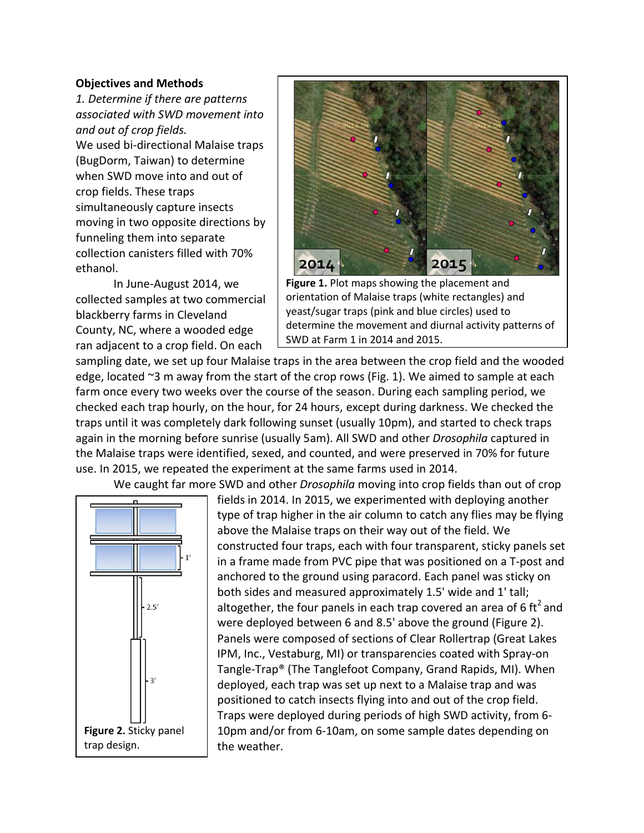#### **Objectives and Methods**

*1. Determine if there are patterns associated with SWD movement into and out of crop fields.* We used bi-directional Malaise traps (BugDorm, Taiwan) to determine when SWD move into and out of crop fields. These traps simultaneously capture insects moving in two opposite directions by funneling them into separate collection canisters filled with 70% ethanol.

In June-August 2014, we collected samples at two commercial blackberry farms in Cleveland County, NC, where a wooded edge ran adjacent to a crop field. On each



**Figure 1.** Plot maps showing the placement and orientation of Malaise traps (white rectangles) and yeast/sugar traps (pink and blue circles) used to determine the movement and diurnal activity patterns of SWD at Farm 1 in 2014 and 2015.

sampling date, we set up four Malaise traps in the area between the crop field and the wooded edge, located ~3 m away from the start of the crop rows (Fig. 1). We aimed to sample at each farm once every two weeks over the course of the season. During each sampling period, we checked each trap hourly, on the hour, for 24 hours, except during darkness. We checked the traps until it was completely dark following sunset (usually 10pm), and started to check traps again in the morning before sunrise (usually 5am). All SWD and other *Drosophila* captured in the Malaise traps were identified, sexed, and counted, and were preserved in 70% for future use. In 2015, we repeated the experiment at the same farms used in 2014.

We caught far more SWD and other *Drosophila* moving into crop fields than out of crop



fields in 2014. In 2015, we experimented with deploying another type of trap higher in the air column to catch any flies may be flying above the Malaise traps on their way out of the field. We constructed four traps, each with four transparent, sticky panels set in a frame made from PVC pipe that was positioned on a T-post and anchored to the ground using paracord. Each panel was sticky on both sides and measured approximately 1.5' wide and 1' tall; altogether, the four panels in each trap covered an area of 6 ft<sup>2</sup> and were deployed between 6 and 8.5' above the ground (Figure 2). Panels were composed of sections of Clear Rollertrap (Great Lakes IPM, Inc., Vestaburg, MI) or transparencies coated with Spray-on Tangle-Trap® (The Tanglefoot Company, Grand Rapids, MI). When deployed, each trap was set up next to a Malaise trap and was positioned to catch insects flying into and out of the crop field. Traps were deployed during periods of high SWD activity, from 6- 10pm and/or from 6-10am, on some sample dates depending on the weather.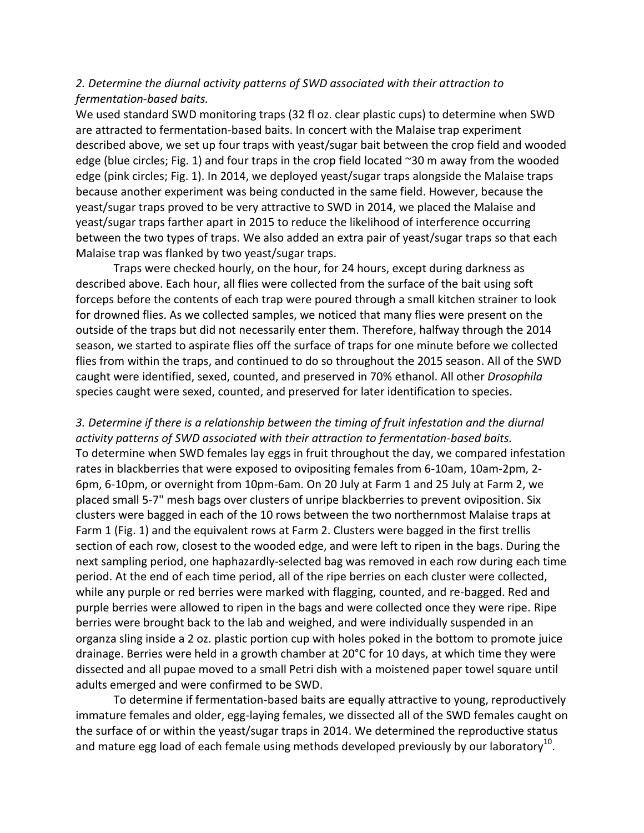# *2. Determine the diurnal activity patterns of SWD associated with their attraction to fermentation-based baits.*

We used standard SWD monitoring traps (32 fl oz. clear plastic cups) to determine when SWD are attracted to fermentation-based baits. In concert with the Malaise trap experiment described above, we set up four traps with yeast/sugar bait between the crop field and wooded edge (blue circles; Fig. 1) and four traps in the crop field located ~30 m away from the wooded edge (pink circles; Fig. 1). In 2014, we deployed yeast/sugar traps alongside the Malaise traps because another experiment was being conducted in the same field. However, because the yeast/sugar traps proved to be very attractive to SWD in 2014, we placed the Malaise and yeast/sugar traps farther apart in 2015 to reduce the likelihood of interference occurring between the two types of traps. We also added an extra pair of yeast/sugar traps so that each Malaise trap was flanked by two yeast/sugar traps.

Traps were checked hourly, on the hour, for 24 hours, except during darkness as described above. Each hour, all flies were collected from the surface of the bait using soft forceps before the contents of each trap were poured through a small kitchen strainer to look for drowned flies. As we collected samples, we noticed that many flies were present on the outside of the traps but did not necessarily enter them. Therefore, halfway through the 2014 season, we started to aspirate flies off the surface of traps for one minute before we collected flies from within the traps, and continued to do so throughout the 2015 season. All of the SWD caught were identified, sexed, counted, and preserved in 70% ethanol. All other *Drosophila* species caught were sexed, counted, and preserved for later identification to species.

*3. Determine if there is a relationship between the timing of fruit infestation and the diurnal activity patterns of SWD associated with their attraction to fermentation-based baits.* To determine when SWD females lay eggs in fruit throughout the day, we compared infestation rates in blackberries that were exposed to ovipositing females from 6-10am, 10am-2pm, 2- 6pm, 6-10pm, or overnight from 10pm-6am. On 20 July at Farm 1 and 25 July at Farm 2, we placed small 5-7" mesh bags over clusters of unripe blackberries to prevent oviposition. Six clusters were bagged in each of the 10 rows between the two northernmost Malaise traps at Farm 1 (Fig. 1) and the equivalent rows at Farm 2. Clusters were bagged in the first trellis section of each row, closest to the wooded edge, and were left to ripen in the bags. During the next sampling period, one haphazardly-selected bag was removed in each row during each time period. At the end of each time period, all of the ripe berries on each cluster were collected, while any purple or red berries were marked with flagging, counted, and re-bagged. Red and purple berries were allowed to ripen in the bags and were collected once they were ripe. Ripe berries were brought back to the lab and weighed, and were individually suspended in an organza sling inside a 2 oz. plastic portion cup with holes poked in the bottom to promote juice drainage. Berries were held in a growth chamber at 20°C for 10 days, at which time they were dissected and all pupae moved to a small Petri dish with a moistened paper towel square until adults emerged and were confirmed to be SWD.

To determine if fermentation-based baits are equally attractive to young, reproductively immature females and older, egg-laying females, we dissected all of the SWD females caught on the surface of or within the yeast/sugar traps in 2014. We determined the reproductive status and mature egg load of each female using methods developed previously by our laboratory<sup>10</sup>.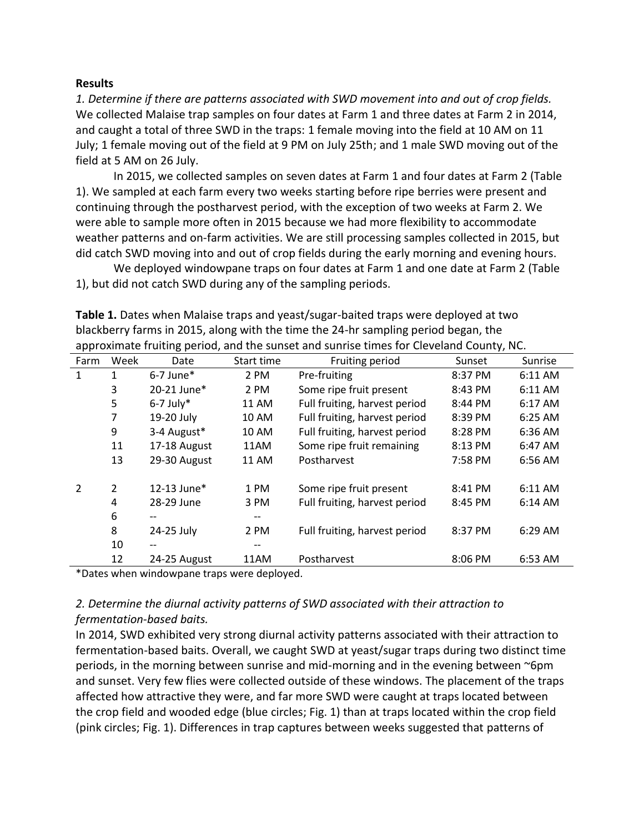#### **Results**

*1. Determine if there are patterns associated with SWD movement into and out of crop fields.* We collected Malaise trap samples on four dates at Farm 1 and three dates at Farm 2 in 2014, and caught a total of three SWD in the traps: 1 female moving into the field at 10 AM on 11 July; 1 female moving out of the field at 9 PM on July 25th; and 1 male SWD moving out of the field at 5 AM on 26 July.

In 2015, we collected samples on seven dates at Farm 1 and four dates at Farm 2 (Table 1). We sampled at each farm every two weeks starting before ripe berries were present and continuing through the postharvest period, with the exception of two weeks at Farm 2. We were able to sample more often in 2015 because we had more flexibility to accommodate weather patterns and on-farm activities. We are still processing samples collected in 2015, but did catch SWD moving into and out of crop fields during the early morning and evening hours.

We deployed windowpane traps on four dates at Farm 1 and one date at Farm 2 (Table 1), but did not catch SWD during any of the sampling periods.

| approximate fruiting period, and the sunset and sunrise times for Cleveland County, NC. |      |                   |            |                               |         |         |
|-----------------------------------------------------------------------------------------|------|-------------------|------------|-------------------------------|---------|---------|
| Farm                                                                                    | Week | Date              | Start time | Fruiting period               | Sunset  | Sunrise |
| 1                                                                                       | 1    | $6-7$ June*       | 2 PM       | Pre-fruiting                  | 8:37 PM | 6:11 AM |
|                                                                                         | 3    | 20-21 June*       | 2 PM       | Some ripe fruit present       | 8:43 PM | 6:11 AM |
|                                                                                         | 5    | $6-7$ July*       | 11 AM      | Full fruiting, harvest period | 8:44 PM | 6:17 AM |
|                                                                                         | 7    | 19-20 July        | 10 AM      | Full fruiting, harvest period | 8:39 PM | 6:25 AM |
|                                                                                         | 9    | 3-4 August*       | 10 AM      | Full fruiting, harvest period | 8:28 PM | 6:36 AM |
|                                                                                         | 11   | 17-18 August      | 11AM       | Some ripe fruit remaining     | 8:13 PM | 6:47 AM |
|                                                                                         | 13   | 29-30 August      | 11 AM      | Postharvest                   | 7:58 PM | 6:56 AM |
|                                                                                         | 2    | 12-13 June*       | 1 PM       | Some ripe fruit present       | 8:41 PM | 6:11 AM |
|                                                                                         | 4    | 28-29 June        | 3 PM       | Full fruiting, harvest period | 8:45 PM | 6:14 AM |
|                                                                                         | 6    | $- -$             |            |                               |         |         |
|                                                                                         | 8    | 24-25 July        | 2 PM       | Full fruiting, harvest period | 8:37 PM | 6:29 AM |
|                                                                                         | 10   | $\qquad \qquad -$ |            |                               |         |         |
|                                                                                         | 12   | 24-25 August      | 11AM       | Postharvest                   | 8:06 PM | 6:53 AM |

**Table 1.** Dates when Malaise traps and yeast/sugar-baited traps were deployed at two blackberry farms in 2015, along with the time the 24-hr sampling period began, the approximate fruiting period, and the sunset and sunrise times for Cleveland County, NC.

\*Dates when windowpane traps were deployed.

# *2. Determine the diurnal activity patterns of SWD associated with their attraction to fermentation-based baits.*

In 2014, SWD exhibited very strong diurnal activity patterns associated with their attraction to fermentation-based baits. Overall, we caught SWD at yeast/sugar traps during two distinct time periods, in the morning between sunrise and mid-morning and in the evening between ~6pm and sunset. Very few flies were collected outside of these windows. The placement of the traps affected how attractive they were, and far more SWD were caught at traps located between the crop field and wooded edge (blue circles; Fig. 1) than at traps located within the crop field (pink circles; Fig. 1). Differences in trap captures between weeks suggested that patterns of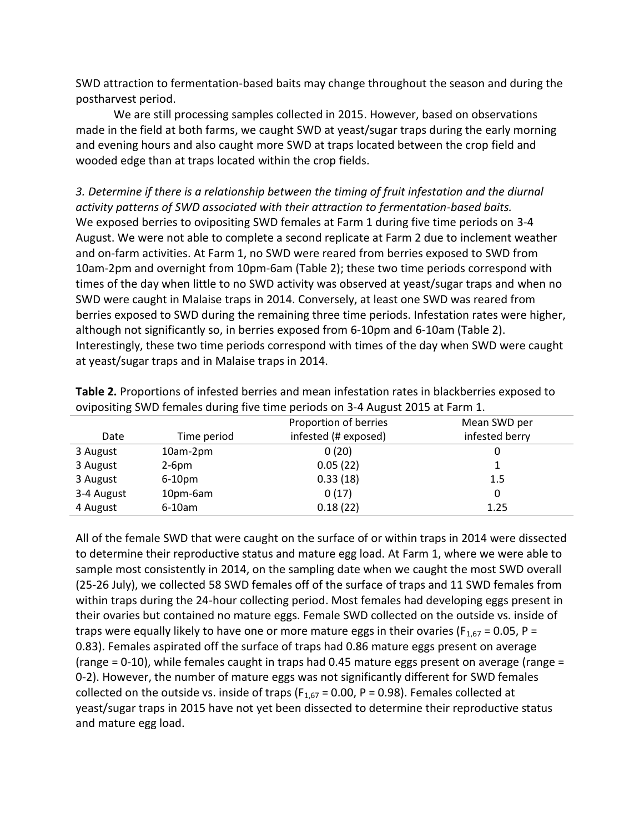SWD attraction to fermentation-based baits may change throughout the season and during the postharvest period.

We are still processing samples collected in 2015. However, based on observations made in the field at both farms, we caught SWD at yeast/sugar traps during the early morning and evening hours and also caught more SWD at traps located between the crop field and wooded edge than at traps located within the crop fields.

*3. Determine if there is a relationship between the timing of fruit infestation and the diurnal activity patterns of SWD associated with their attraction to fermentation-based baits.* We exposed berries to ovipositing SWD females at Farm 1 during five time periods on 3-4 August. We were not able to complete a second replicate at Farm 2 due to inclement weather and on-farm activities. At Farm 1, no SWD were reared from berries exposed to SWD from 10am-2pm and overnight from 10pm-6am (Table 2); these two time periods correspond with times of the day when little to no SWD activity was observed at yeast/sugar traps and when no SWD were caught in Malaise traps in 2014. Conversely, at least one SWD was reared from berries exposed to SWD during the remaining three time periods. Infestation rates were higher, although not significantly so, in berries exposed from 6-10pm and 6-10am (Table 2). Interestingly, these two time periods correspond with times of the day when SWD were caught at yeast/sugar traps and in Malaise traps in 2014.

| .          |             |                       |                |  |
|------------|-------------|-----------------------|----------------|--|
|            |             | Proportion of berries | Mean SWD per   |  |
| Date       | Time period | infested (# exposed)  | infested berry |  |
| 3 August   | 10am-2pm    | 0(20)                 |                |  |
| 3 August   | $2-6pm$     | 0.05(22)              |                |  |
| 3 August   | $6-10pm$    | 0.33(18)              | 1.5            |  |
| 3-4 August | 10pm-6am    | 0(17)                 |                |  |
| 4 August   | 6-10am      | 0.18(22)              | 1.25           |  |

**Table 2.** Proportions of infested berries and mean infestation rates in blackberries exposed to ovipositing SWD females during five time periods on 3-4 August 2015 at Farm 1.

All of the female SWD that were caught on the surface of or within traps in 2014 were dissected to determine their reproductive status and mature egg load. At Farm 1, where we were able to sample most consistently in 2014, on the sampling date when we caught the most SWD overall (25-26 July), we collected 58 SWD females off of the surface of traps and 11 SWD females from within traps during the 24-hour collecting period. Most females had developing eggs present in their ovaries but contained no mature eggs. Female SWD collected on the outside vs. inside of traps were equally likely to have one or more mature eggs in their ovaries ( $F_{1,67}$  = 0.05, P = 0.83). Females aspirated off the surface of traps had 0.86 mature eggs present on average (range = 0-10), while females caught in traps had 0.45 mature eggs present on average (range = 0-2). However, the number of mature eggs was not significantly different for SWD females collected on the outside vs. inside of traps ( $F_{1,67}$  = 0.00, P = 0.98). Females collected at yeast/sugar traps in 2015 have not yet been dissected to determine their reproductive status and mature egg load.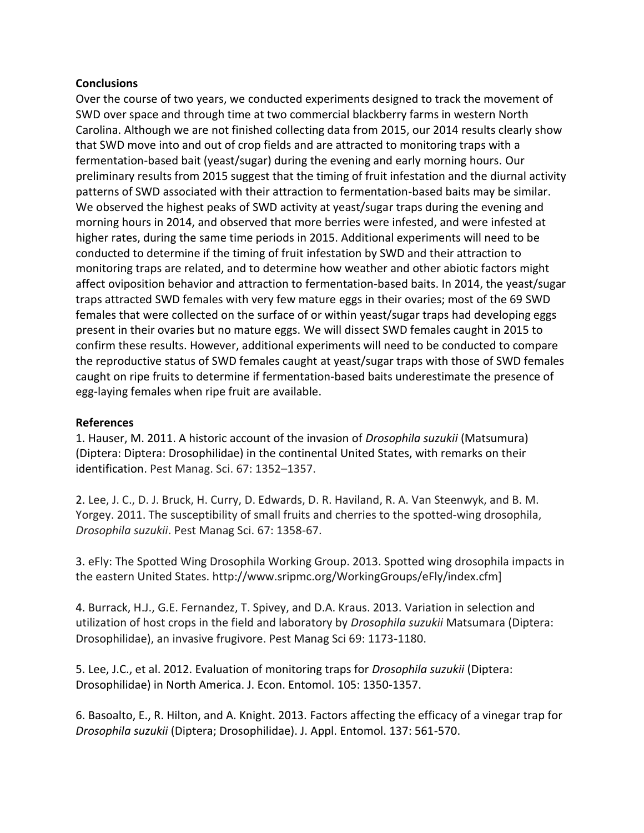### **Conclusions**

Over the course of two years, we conducted experiments designed to track the movement of SWD over space and through time at two commercial blackberry farms in western North Carolina. Although we are not finished collecting data from 2015, our 2014 results clearly show that SWD move into and out of crop fields and are attracted to monitoring traps with a fermentation-based bait (yeast/sugar) during the evening and early morning hours. Our preliminary results from 2015 suggest that the timing of fruit infestation and the diurnal activity patterns of SWD associated with their attraction to fermentation-based baits may be similar. We observed the highest peaks of SWD activity at yeast/sugar traps during the evening and morning hours in 2014, and observed that more berries were infested, and were infested at higher rates, during the same time periods in 2015. Additional experiments will need to be conducted to determine if the timing of fruit infestation by SWD and their attraction to monitoring traps are related, and to determine how weather and other abiotic factors might affect oviposition behavior and attraction to fermentation-based baits. In 2014, the yeast/sugar traps attracted SWD females with very few mature eggs in their ovaries; most of the 69 SWD females that were collected on the surface of or within yeast/sugar traps had developing eggs present in their ovaries but no mature eggs. We will dissect SWD females caught in 2015 to confirm these results. However, additional experiments will need to be conducted to compare the reproductive status of SWD females caught at yeast/sugar traps with those of SWD females caught on ripe fruits to determine if fermentation-based baits underestimate the presence of egg-laying females when ripe fruit are available.

### **References**

1. Hauser, M. 2011. A historic account of the invasion of *Drosophila suzukii* (Matsumura) (Diptera: Diptera: Drosophilidae) in the continental United States, with remarks on their identification. Pest Manag. Sci. 67: 1352–1357.

2. Lee, J. C., D. J. Bruck, H. Curry, D. Edwards, D. R. Haviland, R. A. Van Steenwyk, and B. M. Yorgey. 2011. The susceptibility of small fruits and cherries to the spotted-wing drosophila, *Drosophila suzukii*. Pest Manag Sci. 67: 1358-67.

3. eFly: The Spotted Wing Drosophila Working Group. 2013. Spotted wing drosophila impacts in the eastern United States. http://www.sripmc.org/WorkingGroups/eFly/index.cfm]

4. Burrack, H.J., G.E. Fernandez, T. Spivey, and D.A. Kraus. 2013. Variation in selection and utilization of host crops in the field and laboratory by *Drosophila suzukii* Matsumara (Diptera: Drosophilidae), an invasive frugivore. Pest Manag Sci 69: 1173-1180.

5. Lee, J.C., et al. 2012. Evaluation of monitoring traps for *Drosophila suzukii* (Diptera: Drosophilidae) in North America. J. Econ. Entomol. 105: 1350-1357.

6. Basoalto, E., R. Hilton, and A. Knight. 2013. Factors affecting the efficacy of a vinegar trap for *Drosophila suzukii* (Diptera; Drosophilidae). J. Appl. Entomol. 137: 561-570.